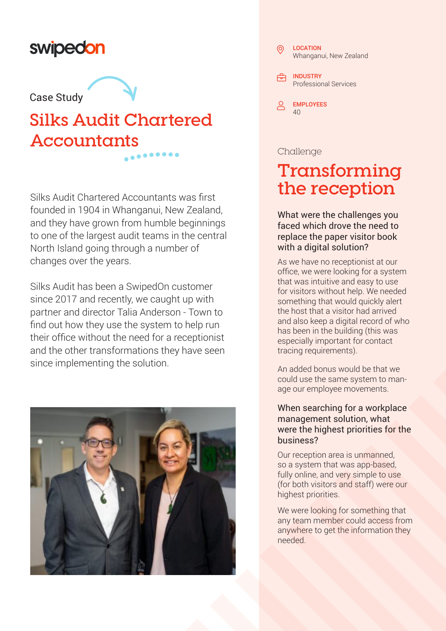### swipedon

## **Case Study the Case Study**

## **Silks Audit Chartered Accountants**

Silks Audit Chartered Accountants was first founded in 1904 in Whanganui, New Zealand, and they have grown from humble beginnings to one of the largest audit teams in the central North Island going through a number of changes over the years.

Silks Audit has been a SwipedOn customer since 2017 and recently, we caught up with partner and director Talia Anderson - Town to find out how they use the system to help run their office without the need for a receptionist and the other transformations they have seen since implementing the solution.



#### LOCATION Whanganui, New Zealand <del>凸</del> INDUSTRY Professional Services  $\circledcirc$

EMPLOYEES 40

#### Challenge

## **Transforming the reception**

What were the challenges you faced which drove the need to replace the paper visitor book with a digital solution?

As we have no receptionist at our office, we were looking for a system that was intuitive and easy to use for visitors without help. We needed something that would quickly alert the host that a visitor had arrived and also keep a digital record of who has been in the building (this was especially important for contact tracing requirements).

An added bonus would be that we could use the same system to manage our employee movements.

#### When searching for a workplace management solution, what were the highest priorities for the business?

Our reception area is unmanned, so a system that was app-based, fully online, and very simple to use (for both visitors and staff) were our highest priorities.

We were looking for something that any team member could access from anywhere to get the information they needed.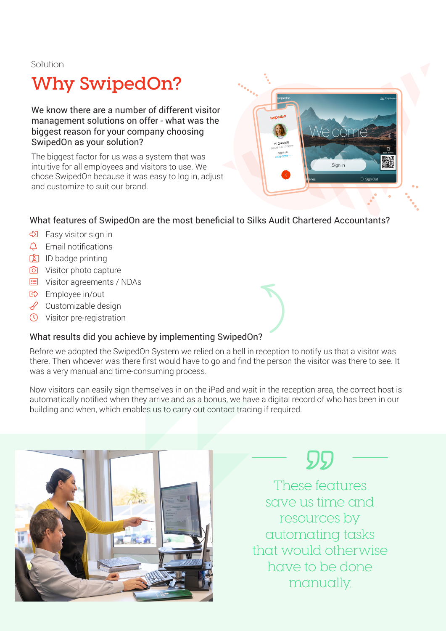Solution

## **Why SwipedOn?**

We know there are a number of different visitor management solutions on offer - what was the biggest reason for your company choosing SwipedOn as your solution?

The biggest factor for us was a system that was intuitive for all employees and visitors to use. We chose SwipedOn because it was easy to log in, adjust and customize to suit our brand.



#### What features of SwipedOn are the most beneficial to Silks Audit Chartered Accountants?

- Easy visitor sign in
- $\triangle$  Email notifications
- **B** ID badge printing
- Visitor photo capture
- Visitor agreements / NDAs
- Employee in/out
- $\mathscr S$  Customizable design
- Visitor pre-registration

#### What results did you achieve by implementing SwipedOn?

Before we adopted the SwipedOn System we relied on a bell in reception to notify us that a visitor was there. Then whoever was there first would have to go and find the person the visitor was there to see. It was a very manual and time-consuming process.

Now visitors can easily sign themselves in on the iPad and wait in the reception area, the correct host is automatically notified when they arrive and as a bonus, we have a digital record of who has been in our building and when, which enables us to carry out contact tracing if required.





These features save us time and resources by automating tasks that would otherwise have to be done manually.